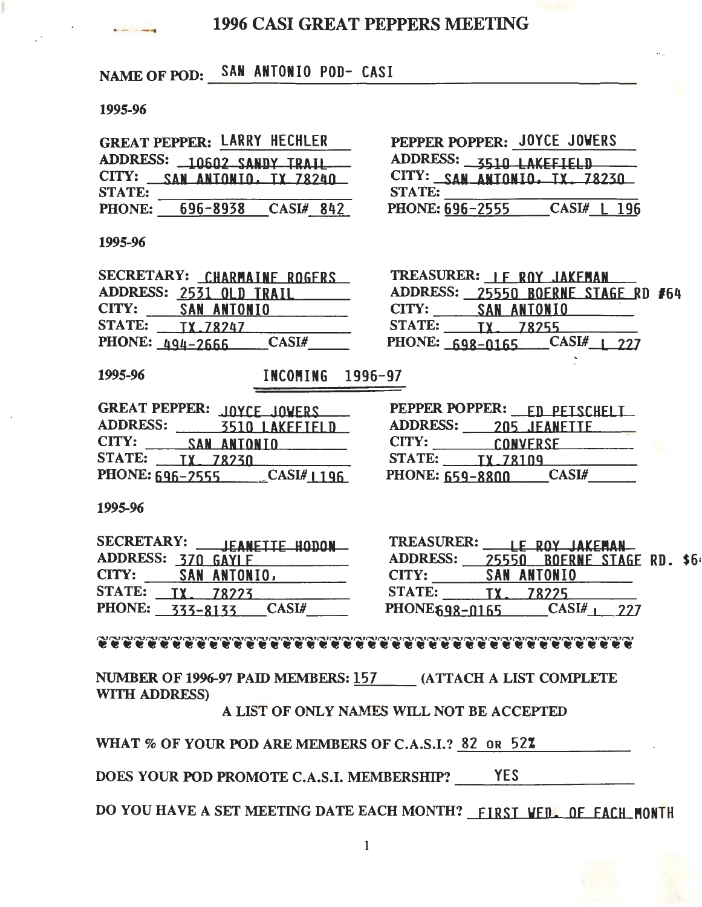# 1996 CASI GREAT PEPPERS MEETING

# NAME OF POD: SAN ANTONIO POD- CASI

### 1995-96

|               | <b>GREAT PEPPER: LARRY HECHLER</b> |           |  |
|---------------|------------------------------------|-----------|--|
|               | ADDRESS: 10602 SANDY TRAIL         |           |  |
| CITY:         | <b>SAN ANTONIO, TX 78240</b>       |           |  |
| <b>STATE:</b> |                                    |           |  |
| PHONE:        | 696-8938                           | CASI# 842 |  |

PEPPER POPPER: JOYCE JOWERS ADDRESS: 3510 LAKEFIELD CITY: **SAN ANTONIO, TX, 78230**<br>STATE:<br>PHONE: <u>696-2555</u> CASI# L 196

#### 1995-96

|       |                        | SECRETARY: CHARMAINE ROGERS |  |
|-------|------------------------|-----------------------------|--|
|       |                        | ADDRESS: 2531 OLD TRAIL     |  |
| CITY: |                        | SAN ANTONIO                 |  |
|       | STATE: <b>IX.78247</b> |                             |  |
|       | PHONE: $494-2666$      | CASI#                       |  |

|       | TREASURER: IF ROY JAKEMAN          |  |
|-------|------------------------------------|--|
|       | ADDRESS: 25550 BOERNE STAGE RD #64 |  |
| CITY: | <b>SAN ANTONIO</b>                 |  |
|       | STATE: TX 78255                    |  |
|       | PHONE: $698-0165$ $CASI_{11}$ 227  |  |

1995-96 INCOMING 1996-97

| GREAT PEPPER: JOYCE JOVERS                                       | PEPPER POPPER:<br><b>FD PETSCHELL</b> |
|------------------------------------------------------------------|---------------------------------------|
| <b>ADDRESS:</b>                                                  | <b>ADDRESS:</b>                       |
| <b>3510 LAKEFTELD</b>                                            | 205 JEANETTE                          |
| CITY:<br><b>SAN ANTONIO</b><br>the control of the control of the | CITY:<br>CONVERSE                     |
| <b>STATE:</b>                                                    | <b>STATE:</b>                         |
| <b>TX. 78230</b>                                                 | <b>TX.78109</b>                       |
| <b>PHONE: 696-2555</b>                                           | CASI#                                 |
| CASI#1196                                                        | <b>PHONE: 659-8800</b>                |

| GREAT PEPPER: JOYCE JOVERS               | PEPPER POPPER: FN PETSCHELL      |
|------------------------------------------|----------------------------------|
| <b>ADDRESS:</b><br><b>3510 LAKEFTELD</b> | <b>ADDRESS:</b><br>205 JEANETTE  |
| <b>CITY:</b><br><b>SAN ANTONIO</b>       | CITY:<br>CONVERSE                |
| <b>STATE:</b><br>TX 78230                | <b>STATE:</b><br><b>TX.78109</b> |
| PHONE: 696-2555 CASI#1196                | <b>PHONE: 659-8800</b><br>CASI#  |

1995-96

| SECRETARY:<br>JEANETTE HODON       | TREASURER            |       | <b>LE ROY JAKEMAN</b> |  |
|------------------------------------|----------------------|-------|-----------------------|--|
| <b>ADDRESS:</b><br><b>GAYLE</b>    | <b>ADDRESS:</b>      | 25550 | <b>BOERNE STAGE</b>   |  |
| CITY:<br>SAN ANTONIO,              | CITY:                |       | <b>SAN ANTONIO</b>    |  |
| <b>STATE:</b><br>78773             | <b>STATE:</b>        |       |                       |  |
| <b>PHONE:</b><br>CASI#<br>333-8133 | <b>PHONE698-0165</b> |       | CASI#                 |  |

| <b>SECRETARY:</b><br>JEANETTE HODON           | <b>TREASURER:</b><br>LE ROY JAKEMAN             |
|-----------------------------------------------|-------------------------------------------------|
| <b>ADDRESS:</b>                               | <b>ADDRESS:</b><br><b>BOERNE STAGE RD. \$64</b> |
| CITY:<br><b>SAN ANTONIO,</b>                  | SAN ANTONIO<br>CITY:                            |
| <b>STATE:</b>                                 | <b>STATE:</b><br>78775                          |
| <b>PHONE:</b><br><b>CASI#</b><br>$777 - 8177$ | PHONE 598-0165                                  |

NUMBER OF 1996-97 PAID MEMBERS: 157 (ATTACH A LIST COMPLETE --- WITH ADDRESS)

A LIST OF ONLY NAMES WILL NOT BE ACCEPTED

WHAT % OF YOUR POD ARE MEMBERS OF C.A.S.I.? 82 OR 52%

DOES YOUR POD PROMOTE C.A.S.I. MEMBERSHIP? YES

DO YOU HAVE A SET MEETING DATE EACH MONTH? FIRST VED. OF EACH MONTH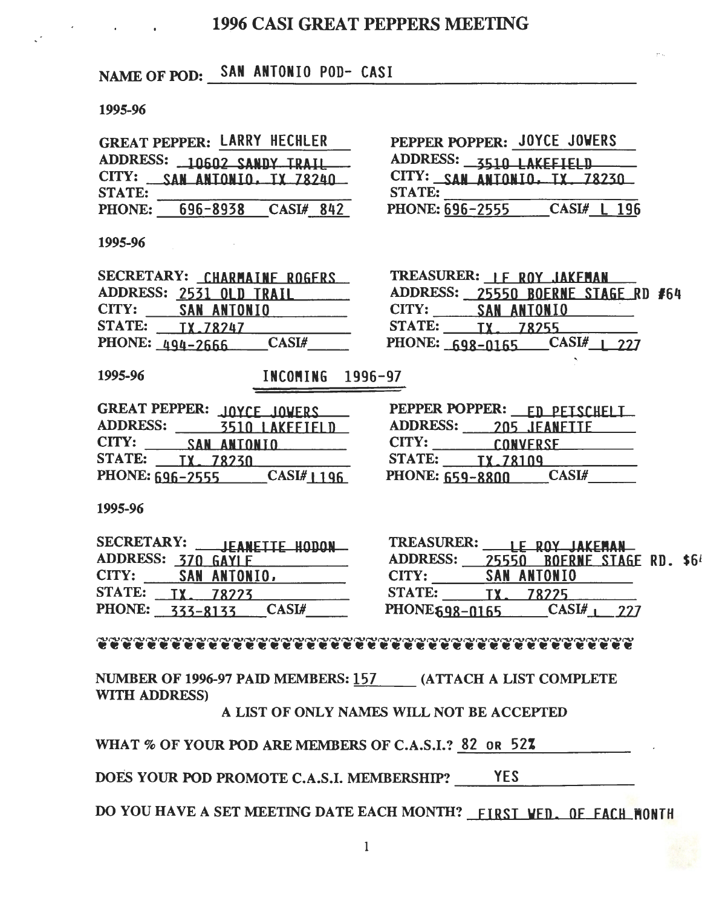# 1996 CASI GREAT PEPPERS MEETING

# NAME OF POD: SAN ANTONIO POD- CASI

### 1995-96

| <b>GREAT PEPPER: LARRY HECHLER</b> |  |                    |  |
|------------------------------------|--|--------------------|--|
| ADDRESS: 10602 SANDY TRAIL         |  |                    |  |
| CITY: SAN ANTONIO, TX 78240        |  |                    |  |
| <b>STATE:</b>                      |  |                    |  |
| <b>PHONE:</b>                      |  | 696-8938 CASI# 842 |  |

| PEPPER POPPER: JOYCE JOVERS  |  |             |  |
|------------------------------|--|-------------|--|
| ADDRESS: 3510 LAKEFIELD      |  |             |  |
| CITY: SAN ANTONIO, TX. 78230 |  |             |  |
| <b>STATE:</b>                |  |             |  |
| <b>PHONE: 696-2555</b>       |  | CASI# L 196 |  |

#### 1995-96

|       | SECRETARY: CHARMAINE ROGERS |             |  |
|-------|-----------------------------|-------------|--|
|       | ADDRESS: 2531 OLD TRAIL     |             |  |
| CITY: |                             | SAN ANTONIO |  |
|       | STATE: TX.78247             |             |  |
|       | PHONE: 494-2666             | $CASL$ #    |  |
|       |                             |             |  |

| TREASURER: IF ROY JAKEMAN          |  |
|------------------------------------|--|
| ADDRESS: 25550 BOERNE STAGE RD #64 |  |
| CITY: SAN ANTONIO                  |  |
| STATE: TX 78255                    |  |
| PHONE: 698-0165 CASI# 1 227        |  |

1995-96 INCOMING 1996-97

| GREAT PEPPER: JOYCE JOVERS | PEPPER POPPER: FD PEISCHELL |
|----------------------------|-----------------------------|
| <b>ADDRESS:</b>            | <b>ADDRESS:</b>             |
| <b>3510 LAKEFIELD</b>      | 205 JEANETTE                |
| CITY:                      | CITY:                       |
| <b>SAN ANTONIO</b>         | CONVERSE                    |
| <b>STATE:</b>              | <b>STATE:</b>               |
| TX. 78230                  | TX.78109                    |
| PHONE: 696-2555            | CASI#                       |
| CASI#1196                  | <b>PHONE: 659-8800</b>      |

| PEPPER POPPER:                   | <u>EN PEISCHELI</u> |
|----------------------------------|---------------------|
| <b>ADDRESS:</b>                  | 205 JEANETTE        |
| CITY:                            | <b>CONVERSE</b>     |
| <b>STATE:</b><br><b>TX.78109</b> |                     |
| PHONE: 659-8800                  | <b>CASI#</b>        |

1995-96

| SECRETARY:<br>JEANETTE HODON              | <b>TREASURER:</b>     |       | <b>ROY JAKEMAN</b>  |  |
|-------------------------------------------|-----------------------|-------|---------------------|--|
| ADDRESS: 370 GAYLE                        | <b>ADDRESS:</b>       | 25550 | <b>BOERNE STAGE</b> |  |
| CITY:<br>SAN ANTONIO,                     | CITY:                 |       | <b>SAN ANTONIO</b>  |  |
| <b>STATE:</b><br>78223                    | <b>STATE:</b>         |       | 78775               |  |
| <b>PHONE:</b><br><b>CASI#</b><br>333-8133 | <b>PHONE 698-0165</b> |       | CASI#               |  |

| <b>SECRETARY:</b><br><b>JEANETTE HODON</b> | <b>TREASURER:</b> | <b>ROY IAKEMAN</b>                    |
|--------------------------------------------|-------------------|---------------------------------------|
| ADDRESS: 370                               | <b>ADDRESS:</b>   | <b>BOERNE STAGE RD. \$64</b><br>25550 |
| CITY:<br>SAN ANTONIO,                      | CITY:             | <b>SAN ANTONIO</b>                    |
| <b>STATE:</b>                              | <b>STATE:</b>     | 78775                                 |
| <b>PHONE:</b><br>CASL#                     | PHONE 698-0165    |                                       |

### 

NUMBER OF 1996-97 PAID MEMBERS: 157 (ATTACH A LIST COMPLETE WITH ADDRESS)

A LIST OF ONLY NAMES WILL NOT BE ACCEPTED

WHAT % OF YOUR POD ARE MEMBERS OF C.A.S.I.? 82 OR 52%

DOES YOUR POD PROMOTE C.A.S.I. MEMBERSHIP? YES

DO YOU HAVE A SET MEETING DATE EACH MONTH? FIRST VED. OF FACH MONTH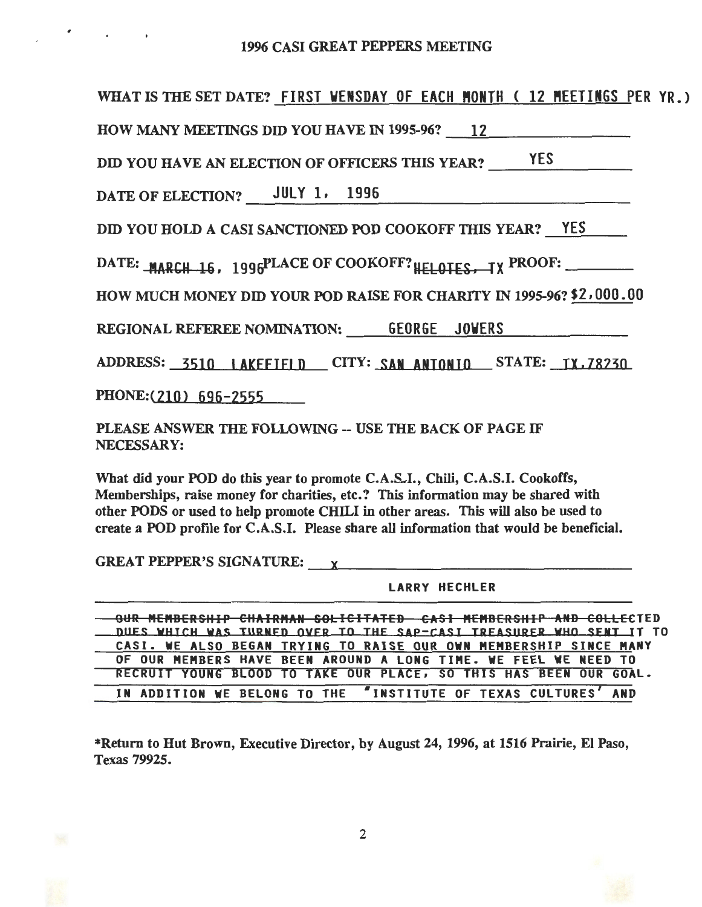## 1996 CASI GREAT PEPPERS MEETING

| WHAT IS THE SET DATE? FIRST VENSDAY OF EACH MONTH (12 MEETINGS PER YR.)                                                                                                                                                                                                                                                                                                                                                                           |
|---------------------------------------------------------------------------------------------------------------------------------------------------------------------------------------------------------------------------------------------------------------------------------------------------------------------------------------------------------------------------------------------------------------------------------------------------|
| HOW MANY MEETINGS DID YOU HAVE IN 1995-96? 12                                                                                                                                                                                                                                                                                                                                                                                                     |
| DID YOU HAVE AN ELECTION OF OFFICERS THIS YEAR? YES                                                                                                                                                                                                                                                                                                                                                                                               |
| DATE OF ELECTION? JULY 1, 1996                                                                                                                                                                                                                                                                                                                                                                                                                    |
| DID YOU HOLD A CASI SANCTIONED POD COOKOFF THIS YEAR? <u>YES</u>                                                                                                                                                                                                                                                                                                                                                                                  |
| DATE: MARCH 16, 1996PLACE OF COOKOFF? HELOTES, IX PROOF:                                                                                                                                                                                                                                                                                                                                                                                          |
| HOW MUCH MONEY DID YOUR POD RAISE FOR CHARITY IN 1995-96? \$2,000.00                                                                                                                                                                                                                                                                                                                                                                              |
| REGIONAL REFEREE NOMINATION: 6EORGE JOVERS                                                                                                                                                                                                                                                                                                                                                                                                        |
| ADDRESS: 3510 LAKEFIFLD CITY: SAN ANTONIO STATE: TX.78230                                                                                                                                                                                                                                                                                                                                                                                         |
| PHONE: $(210)$ 696-2555                                                                                                                                                                                                                                                                                                                                                                                                                           |
| PLEASE ANSWER THE FOLLOWING -- USE THE BACK OF PAGE IF<br>NECESSARY:                                                                                                                                                                                                                                                                                                                                                                              |
| What did your POD do this year to promote C.A.S.I., Chili, C.A.S.I. Cookoffs,<br>Memberships, raise money for charities, etc.? This information may be shared with<br>other PODS or used to help promote CHILI in other areas. This will also be used to<br>create a POD profile for C.A.S.I. Please share all information that would be beneficial.                                                                                              |
| GREAT PEPPER'S SIGNATURE: x                                                                                                                                                                                                                                                                                                                                                                                                                       |
| <b>LARRY HECHLER</b>                                                                                                                                                                                                                                                                                                                                                                                                                              |
| OUR MEMBERSHIP CHAIRMAN SOLICITATED CASI MEMBERSHIP AND COLLECTED<br>DUES WHICH WAS TURNED OVER TO THE SAP-CASI TREASURER WHO SENT IT TO<br>CASI. WE ALSO BEGAN TRYING TO RAISE OUR OWN MEMBERSHIP SINCE MANY<br>OF OUR MEMBERS HAVE BEEN AROUND A LONG TIME. WE FEEL WE NEED TO<br>RECRUIT YOUNG BLOOD TO TAKE OUR PLACE, SO THIS HAS BEEN OUR GOAL.<br><b><i>INSTITUTE OF TEXAS CULTURES'</i></b><br><b>AND</b><br>IN ADDITION WE BELONG TO THE |

\*Return to Hut Brown, Executive Director, by August 24, 1996, at 1516 Prairie, El Paso, Texas 79925.

 $\mathcal{L}^{\text{max}}$ 

 $\sim$ 

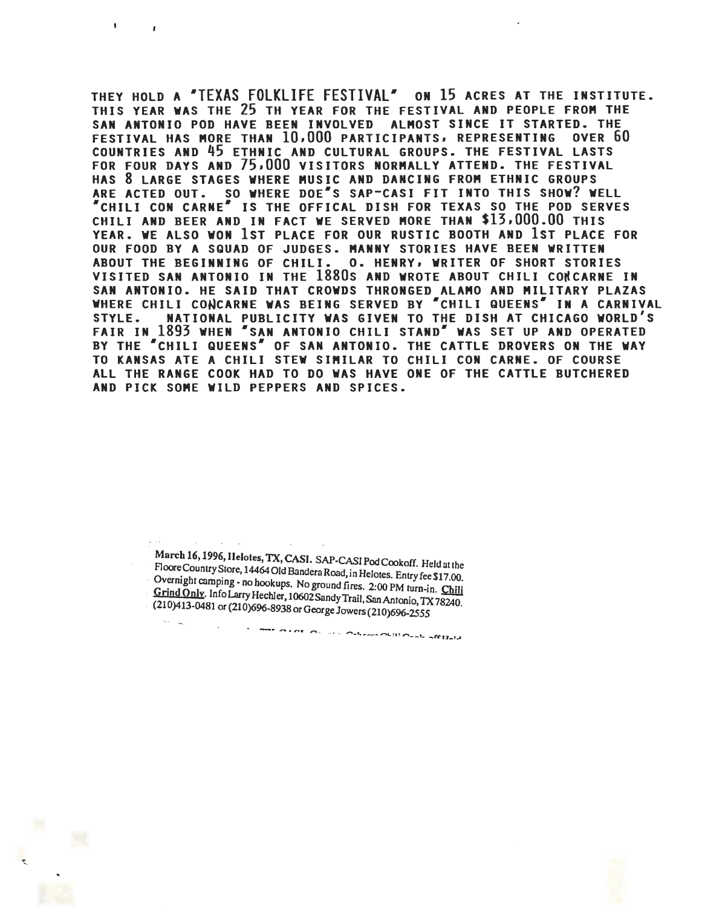THEY HOLD A "TEXAS FOLKLIFE FESTIVAL" ON 15 ACRES AT THE INSTITUTE. THIS YEAR WAS THE 25 TH YEAR FOR THE FESTIVAL AND PEOPLE FROM THE SAN ANTONIO POD HAVE BEEN INVOLVED ALMOST SINCE IT STARTED. THE<br>FESTIVAL HAS MORE THAN 10,000 PARTICIPANTS, REPRESENTING OVER 60 FESTIVAL HAS MORE THAN  $10,000$  participants, representing COUNTRIES AND 45 ETHNIC AND CULTURAL GROUPS. THE FESTIVAL LASTS FOR FOUR DAYS AND 75,000 VISITORS NORMALLY ATTEND. THE FESTIVAL HAS 8 LARGE STAGES WHERE MUSIC AND DANCING FROM ETHNIC GROUPS ARE ACTED OUT. SO WHERE DOE"S SAP-CASI FIT INTO THIS SHOW? WELL •cHILI CON CARNE• IS THE OFFICAL DISH FOR TEXAS SO THE POD SERVES CHILI AND BEER AND IN FACT WE SERVED MORE THAN \$13,000.00 THIS YEAR. WE ALSO WON 1ST PLACE FOR OUR RUSTIC BOOTH AND 1ST PLACE FOR OUR FOOD BY A SQUAD OF JUDGES. **MANNY** STORIES HAVE BEEN WRITTEN ABOUT THE BEGINNING OF CHILI. O. HENRY, WRITER OF SHORT STORIES VISITED SAN ANTONIO IN THE 1880s AND WROTE ABOUT CHILI CONCARNE IN SAN ANTONIO. HE SAID THAT CROWDS THRONGED ALAMO AND MILITARY PLAZAS WHERE CHILI CONCARNE WAS BEING SERVED BY "CHILI QUEENS" IN A CARNIVAL STYLE. NATIONAL PUBLICITY WAS GIVEN TO THE DISH AT CHICAGO WORLD'S FAIR IN 1893 WHEN "SAN ANTONIO CHILI STAND" WAS SET UP AND OPERATED BY THE "CHILI QUEENS" OF SAN ANTONIO. THE CATTLE DROVERS ON THE WAY TO KANSAS ATE A CHILI STEW SIMILAR TO CHILI CON CARNE. OF COURSE ALL THE RANGE COOK HAD TO DO WAS HAVE ONE OF THE CATTLE BUTCHERED AND PICK SOME WILD PEPPERS AND SPICES.

: March 16, 1996, Helotes, TX, CASI. SAP-CASI Pod Cookoff. Held at the Floore Country Store, 14464 Old Bandera Road, in Helotes. Entry fee \$17.00. Overnight camping - no hookups. No ground fires. 2:00 PM turn-in. Chili  $\frac{1}{2}$  Cring Only. Info Larry Hechler, 10602 Sandy Trail, San Antonio, TX 78240.<br>(210)413-0481 or (210)696-8938 or George Jowers (210)696-2555 <u>rınç</u><br>10)

as kan san mini kamerkan kan mengelakun

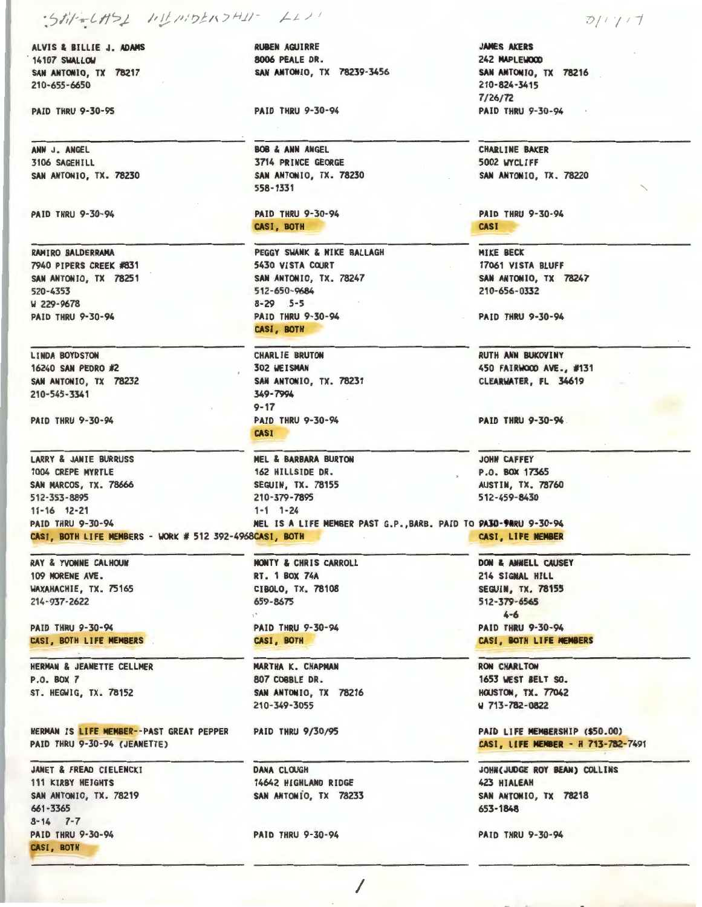# · Stil-6151 111 11: 02157411- LL

ALVIS & BILLIE J. ADAMS 14107 SWALLOW SAN ANTONIO, TX 78217 210-655-6650

PAID THRU 9-30-95

**ANN** J. ANGEL 3106 SAGEHILL SAN ANTONIO, TX. 78230

PAID THRU 9-30-94

RAMIRO BALDERRAMA 7940 PIPERS CREEK #831 SAN ANTONIO, TX 78251 520-4353 **W** 229-9678 PAID THRU 9-30-94

LINDA BOYDSTON 16240 SAN PEDRO #2 SAN ANTONIO, TX 78232 210-545-3341

PAID THRU 9-30-94

LARRY & JANIE BURRUSS 1004 CREPE MYRTLE SAN MARCOS, TX. 78666 512-353-8895 11-16 12-21 CASI, BOTH LIFE MEMBERS - WORK # 512 392-4968CASI, BOTH

RAY & YVONNE CALHOUN 109 MORENE AVE. WAXAHACHIE, TX. 75165 214-937-2622

PAID THRU 9-30-94 CASI, BOTH LIFE **MEMBERS** 

HERMAN & JEANETTE CELLMER P.O. BOX 7 ST. HEGWIG, TX. 78152

HERMAN IS LIFE MEMBER--PAST GREAT PEPPER PAID THRU 9-30-94 (JEANETTE)

JANET & FREAO CIELENCKI 111 KIRBY HEIGHTS SAN ANTONIO, TX. 78219 661-3365 8-14 *7-7*  PAID THRU 9-30-94 **CASI,** BOTH

**RUBEN AGUIRRE**  8006 PEALE DR. **SAN ANTONIO,** TX 78239-3456

PAID THRU 9-30-94

**BOB** & **ANN** ANGEL 3714 PRINCE GEORGE SAN ANTONIO, TX. 78230 558-1331

PAID THRU 9-30-94 **CASI,** BOTH

PEGGY **SWANK** & **MIKE** BALLAGH 5430 VISTA COURT **SAN ANTONIO,** TX. 78247 512-650-9684 8-29 5-5 **PAID** THRU 9-30-94 **CASI, BOTH** 

CHARLIE BRUTON 302 **WEISMAN**  SAN ANTONIO, TX. 78231 349-7994 9-17 PAID THRU 9-30-94 CASI

MEL & **BARBARA** BURTON 162 HILLSIDE DR. SEGUIN, TX. 78155 210-379-7895 1-1 1-24 JOHN CAFFEY PAID THRU 9-30-94 MEL IS **A** LIFE MEMBER PAST G.P.,BARB. PAID TO **PAJ0-91RU** 9-30-94

> MONTY & CHRIS CARROLL RT. 1 BOX 74A CIBOLO, TX. 78108 659-8675

PAID THRU 9-30-94 CASI, BOTH

MARTHA K. CHAPMAN 807 COBBLE DR. SAN ANTONIO, TX 78216 210-349-3055

PAID THRU 9/30/95

DANA CLOUGH 14642 HIGHLAND RIDGE SAN ANTONio, TX 78233

PAID THRU 9-30-94

-:-->1 *1 I* 7

**JAMES AKERS**  242 **MAPLE\IOOO SAN ANTONIO,** TX 78216 210-824-3415  $7/26/72$ PAID THRU 9-30-94

CHARLINE BAKER 5002 WYCUFF SAN ANTONIO, TX. 78220

PAID THRU 9-30-94 **CASI** 

MIKE BECK 17061 VISTA BLUFF SAN ANTONIO, TX 78247 210-656-0332

PAID THRU 9-30-94

RUTH **ANN** BUKOVINY 450 **FAIRWOCX> AVE.,** #131 CLEARWATER, Fl 34619

**PAID** THRU 9-30-94

P.O. BOX 17365 AUSTIN, TX. 78760 512-459-8430

DON & ANNELL CAUSEY 214 SIGNAL Hill SEGUIN, TX. 78155 512-379-6565 4-6 PAID THRU 9-30-94 CASI, BOTH LIFE MEMBERS

RON CHARLTON 1653 WEST BELT SO. **HOUSTON, TX. 77042** W 713-782-0822

PAID LIFE MEMBERSHIP (\$50.00) CASI, LIFE **MENIER** - H 713-782-7491

JOHN(JUDGE ROY BEAN) COLLINS 423 HIALEAH SAN ANTONIO, TX 78218 653-1848

PAID THRU 9-30-94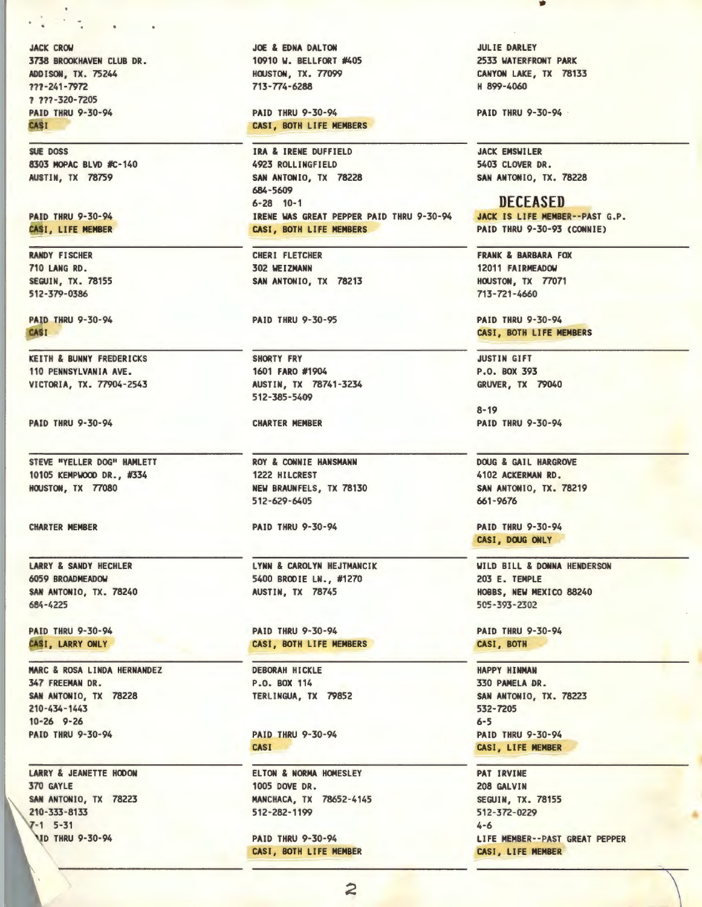**JACK CROW** 3738 BROOKHAVEN CLUB DR. ADD I SON, TX. 75244 ???-241-7972 ? ???-32D-7205 PAID THRU 9-30-94 CASI

SUE DOSS 8303 MOPAC BLVD #C-140 AUSTIN, TX 78759

PAID THRU 9-30-94 CASI, LIFE **MEMBER** 

**RANDY** FISCHER 710 **LANG** RD. SEGUIN, TX. 78155 512-379-0386

PAID THRU 9-30-94 **CASI** 

KEITH & **BUNNY** FREDERICKS 110 **PENNSYLVANIA AVE.**  VICTORIA, TX. 77904-2543

PAID THRU 9-30-94

STEVE "YELLER DOG" HAMLETT 10105 KEMPWOOO DR., #334 HOUSTON, TX 77080

CHARTER MEMBER

**LARRY** & **SANDY** HECHLER **6059 BROADMEADOW SAN ANTONIO,** TX. 78240 684-4225

PAID THRU 9-30-94 CASI, LARRY ONLY

MARC & ROSA LINDA HERNANDEZ 347 FREEMAN DR. SAN ANTONIO, TX 78228 210-434-1443 10-26 9-26 PAID THRU 9-30-94

LARRY & JEANETTE HOOON 370 GAYLE SAN ANTONIO, TX 78223 210-333-8133  $7 - 1$  5 - 31 **VID THRU 9-30-94** 

JOE & EDNA DALTON 10910 W. BELLFORT #405 HOUSTON, TX. 77099 713-774-6288

PAID THRU 9-30-94 CASI, BOTH LIFE MEMBERS

**IRA** & IRENE DUFFIELD 4923 ROLLINGFIELD SAN ANTONIO, TX 78228 684-5609 6-28 10-1 IRENE WAS GREAT PEPPER PAID THRU 9-30-94 **CASI,** BOTH LIFE **MEMBERS** 

CHERI FLETCHER 302 **WEIZMANN SAN ANTONIO,** TX 78213

PAID THRU 9-30-95

SHORTY FRY 1601 FARO #1904 AUSTIN, TX 78741-3234 512-385-5409

CHARTER MEMBER

ROY & CONNIE **HANSMANN**  1222 HILCREST **NEW BRAUNFELS,** TX 78130 512-629-6405

PAID THRU 9-30-94

LYNN & CAROLYN HEJTMANCIK 5400 BRODIE LN., #1270 AUSTIN, TX 78745

PAID THRU 9-30-94 CASI, BOTH LIFE MEMBERS

DEBORAH HICKLE P.O. BOX 114 TERLINGUA, TX 79852

PAID THRU 9-30-94 CASI

ELTON & NORMA HOMESLEY 1005 DOVE DR. MANCHACA, TX 78652-4145 512-282-1199

PAID THRU 9-30-94 CASI, BOTH LIFE MEMBER

JULIE **DARLEY**  2533 **WATERFRONT PARK CANYON LAKE,** TX 78133 H 899-4060

•

**PAID** THRU 9-30-94

JACK EMSWILER 5403 CLOVER DR. SAN ANTONIO, TX. 78228

#### **DECEASED**

JACK IS LIFE MEMBER··PAST G.P. PAID THRU 9-30-93 (CONNIE)

**FRANK** & **BARBARA** FOX 12011 **FAIRMEADOW** HOUSTON, TX 77071 713-721-4660

PAID THRU 9-30-94 CASI, BOTH LIFE **MEMBERS** 

JUSTIN GIFT P.O. BOX 393 GRUVER, TX 79040

8-19 PAID THRU 9-30-94

DOUG & GAIL HARGROVE 4102 **ACKERMAN** RD. **SAN ANTONIO,** TX. 78219 661-9676

PAID THRU 9-30-94 CASI, DOUG ONLY

WILD BILL & **DONNA** HENDERSON 203 E. TEMPLE HOBBS, **NEW** MEXICO 88240 SCS-393-2302

PAID THRU 9-30-94 CASI, BOTH

HAPPY **HINMAN**  330 PAMELA DR. SAN ANTONIO, TX. 78223 532-7205 6-5 PAID THRU 9-30-94 CASI, LIFE **MEMBER** 

PAT IRVINE 208 GALVIN SEGUIN, TX. 78155 512-372-0229 4-6 LIFE MEMBER--PAST GREAT PEPPER CASI, LIFE **MEMBER** 

 $\setminus$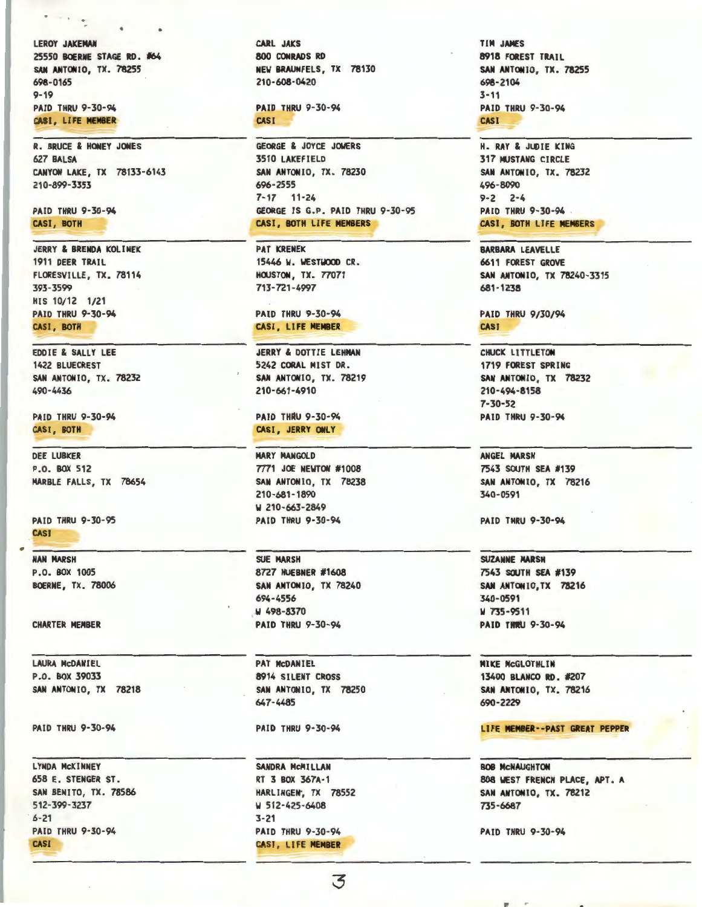LEROY JAKEMAN 25550 BOERNE STAGE RD. #64 SAN ANTONIO, TX. 78255 698-0165 9-19 PAID THRU 9-30-94 CASI, LI FE **MEMBER** 

 $\cdots$ 

R. BRUCE & HONEY JONES 627 **BALSA CANYON** LAKE, TX 78133-6143 210-899-3353

**PAID** THRU 9-30-94 **CASI, BOTH** 

**JERRY & BRENDA KOLINEK** 1911 DEER TRAIL FLORESVILLE, TX. 78114 393-3599 HIS 10/12 1/21 PAID THRU 9-30-94 **CASI,** BOTH

EDDIE & SALLY LEE 1422 BLUECREST SAN ANTONIO, TX. 78232 490-4436

PAID THRU 9-30-94 CASI, BOTH

DEE LUBKER P.O. BOX 512 MARBLE FALLS, TX 78654

PAID THRU 9-30-95 **CASI** 

**NAN MARSH** P.O. BOX 1005 **BOERNE,** TX. 78006

CHARTER **MEMBER** 

LAURA McDANIEL P.O. BOX 39033 SAN ANTONIO, TX 78218

PAID THRU 9-30-94

LYNDA McKINNEY 658 E. STENGER ST. SAN BENITO, TX. 78586 512-399-3237  $6 - 2$ **PAID THRU 9-30-94** CASI

**CARL JAICS 800 CONRADS RD NEW BRAUNFELS,** TX 78130 210-608-0420

**PAID** THRU 9-30-94 **CASI** 

GEORGE & JOYCE JOWERS 3510 LAKEFIELD **SAN ANTONIO,** TX. 78230 696-2555 7-17 11-24 GEORGE IS G.P. PAID THRU 9-30-95 CASI, BOTH LIFE **MEMBERS** 

PAT KRENEK 15446 **W.** WESTWOOD CR. HOUSTON, TX. 77071 713- 721-4997

PAID THRU 9-30-94 CASI, LI FE **MEMBER** 

JERRY & DOTTIE LEHMAN 5242 CORAL MIST DR. **SAN ANTONIO,** TX. 78219 210-661-4910

**PAID THRU 9-30-94** CASI, JERRY ONLY

**MARY** MANGOLD **7771 JOE NEWTON #1008** SAN ANTONIO, TX 78238 210-681-1890 **W** 210-663-2849 PAID THRU 9-30-94

SUE **MARSH**  8727 **HUEBNER** #1608 **SAN ANTONIO,** TX 78240 694-4556 **.W** 498-8370 **PAID** THRU 9-30-94

PAT McDANIEL 8914 SILENT CROSS SAN ANTONIO, TX 78250 647-4485

PAID THRU 9-30-94

SANDRA MCMILLAN RT 3 BOX 367A·1 HARLINGEN, TX 78552 **W** 512-425-6408 3-21 PAID THRU 9-30-94 CASI, LIFE **MEMBER** 

**TIM JAMES 8918 FOREST** TRAIL **SAN ANTONIO,** TX. **78255 698-2104**  3-11 **PAID** THRU 9-30-94 **CASI** 

H. RAY & JUDIE KING **317 NUSTANG CIRCLE** SAN ANTONIO, TX. 78232 496-8090 9-2 2-4 PAID THRU 9-30-94 CASI, BOTH LIFE **MEMBERS** 

**BARBARA** LEAVELLE 6611 FOREST GROVE **SAN ANTONIO,** TX 78240-3315 681-1238

**PAID** THRU 9/30/94 **CASI** 

CHUCK LITTLETON 1719 FOREST SPRING SAN ANTONIO, TX 78232 **210-494·8158**  7-30-52 **PAID** THRU 9·30-94

**ANGEL MARSH**  7543 SOUTH SEA #139 **SAN ANTONIO,** TX 78216 340-0591

**PAID** THRU 9-30-94

**SUZANNE MARSH**  7543 SOUTH SEA #139 SAN ANTONIO, TX 78216 340·0591 W 735-9511 **PAID THRU 9-30-94** 

**MIKE** McGLOTHLIN 13400 **BLANCO RD.** #207 **SAN ANTONIO,** TX. 78216 690-2229

LIFE **MEMBER··PAST GREAT PEPPER** 

BOB McNAUGHTON 808 WEST FRENCH PLACE, APT. A SAN ANTONIO, TX. 78212 735-6687

PAID THRU 9-30-94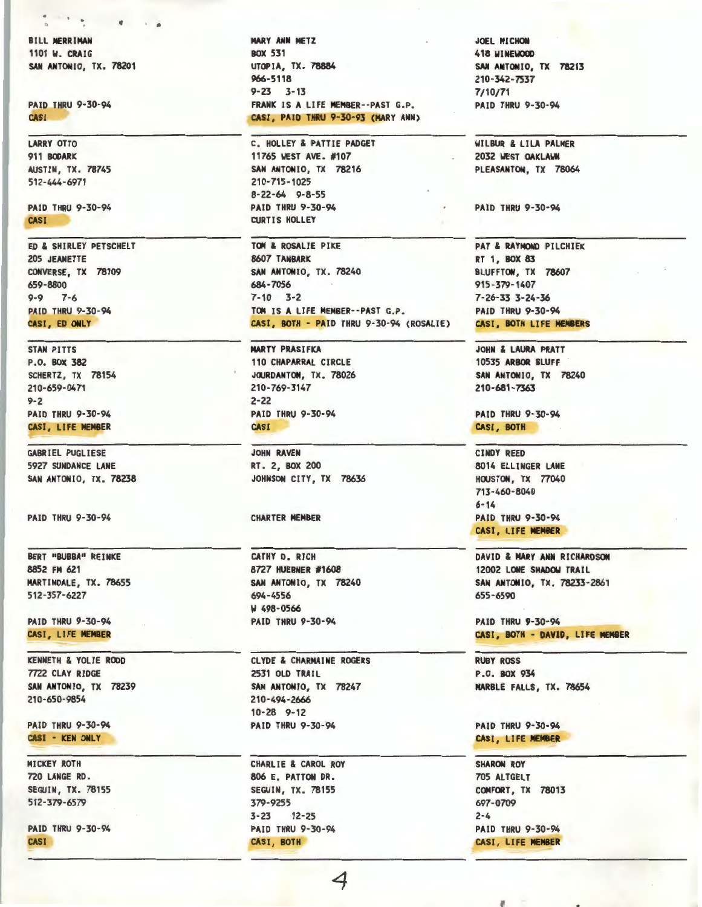BILL **MERRIMAN**  1101 **W.** CRAIG SAN ANTONIO, TX. 78201

 $\blacksquare$ 

PAID THRU 9-30-94 CASI

LARRY OTTO 911 **BOOARK**  AUSTIN, TX. 78745 512-444-6971

PAID THRU 9-30-94 **CASI** 

ED & SHIRLEY PETSCHELT 205 JEANETTE CONVERSE, TX 78109 659-8800 9-9 7-6 PAID THRU 9-30-94 **CASI, ED ONLY** 

STAN PITTS P.O. BOX 382 SCHERTZ, TX 78154 210-659-0471 9-2 PAID THRU 9-30-94 CASI, LIFE **MEMBER** 

GABRIEL PUGLIESE 5927 SUNDANCE LANE SAN ANTONIO, TX. 78238

PAID THRU 9-30-94

BERT "BUBBA" REINKE 8852 **FM** 621 MARTINDALE, TX. 78655 512-357-6227

PAID THRU 9-30-94 CASI, LIFE **MEMBER** 

KENNETH & YOLIE ROOD 7722 CLAY RIDGE **SAN ANTONIO,** TX 78239 210-650-9854

**PAID** THRU 9-30-94 **CASI** - **KEN ONLY** 

MICKEY ROTH 720 LANGE RD. SEGUIN, TX. 78155 512-379-6579

PAID THRU 9-30-94 **CASI** 

MARY ANN METZ BOX 531 UTOPIA, TX. 78884 966-5118 9-23 3-13 FRANK IS **A** LIFE MEMBER--PAST G.P. CASI, PAID THRU 9·30-93 (MARY ANN)

C. HOLLEY & PATTIE PADGET 11765 WEST **AVE.** #107 SAN ANTONIO, TX 78216 210-715-1025 8-22-64 9-8-55 **PAID** THRU 9-30-94 CURTIS HOLLEY

**TOM** & ROSALIE PIKE 8607 **TANBARK SAN ANTONIO,** TX. 78240 684-7056 7-10 3-2 **TOM** IS **A** LIFE **MEMBER--PAST** G.P. **CASI, BOTH** - **PAID** THRU 9-30-94 (ROSALIE)

**MARTY PRASIFKA** 110 **CHAPARRAL** CIRCLE **JOJRDANTON,** TX. 78026 210-769-3147 2-22 **PAID** THRU 9-30-94 **CASI** 

JOHN RAVEN RT. 2, BOX 200 JOHNSON CITY, TX 78636

CHARTER **MEMBER** 

CATHY D. RICH 8727 HUEBNER #1608 SAN ANTONIO, TX 78240 694-4556 <sup>~</sup>498-0566 PAID THRU 9-30-94

CLYDE & CHARMAINE ROGERS 2531 OLD TRAIL SAN ANTONIO, TX 78247 210-494-2666 10-28 9-12 PAID THRU 9-30-94

CHARLIE & CAROL ROY 806 E. PATTON DR. SEGUIN, TX. 78155 379-9255 3-23 12-25 PAID THRU 9-30-94 CASI, BOTH

JOEL **MICHON**  418 **WINEWOOO SAN ANTONIO,** TX 78213 210-342-7537 7/10/71 **PAID** THRU 9-30-94

WILBUR & LILA PALMER 2032 WEST **OAKLAWN**  PLEASANTON, TX 78064

**PAID** THRU 9-30-94

PAT & RAYMOND PILCHIEK RT 1, BOX 83 BLUFFTON, TX 78607 915-379-1407 7-26-33 3-24-36 PAID THRU 9-30-94 CASI, BOTH LI FE **MEMBERS** 

JOHN & LAURA PRATT 10535 ARBOR BLUFF SAN ANTONIO, TX 78240 210-681-7363

PAID THRU 9-30-94 CASI, BOTH

CINDY REED 8014 ELLINGER LANE **HOUSTON, TX 77040** 713-460-8040 6-14 PAID THRU 9-30-94 CASI , LI FE **MEMBER** 

DAVID & MARY ANN RICHARDSON 12002 LONE SHADOW TRAIL SAN ANTONIO, TX. 78233-2861 655-6590

PAID THRU 9-30-94 CASI, BOTH - DAVID, LIFE MEMBER

RUBY ROSS P.O. BOX 934 MARBLE FALLS, TX. 78654

PAID THRU 9-30-94 CASI , LI FE **MEN8ER** 

**SHARON** ROY 705 ALTGELT COMFORT, TX 78013 697-0709 2-4 PAID THRU 9-30-94 CASI, LIFE **MEMBER**